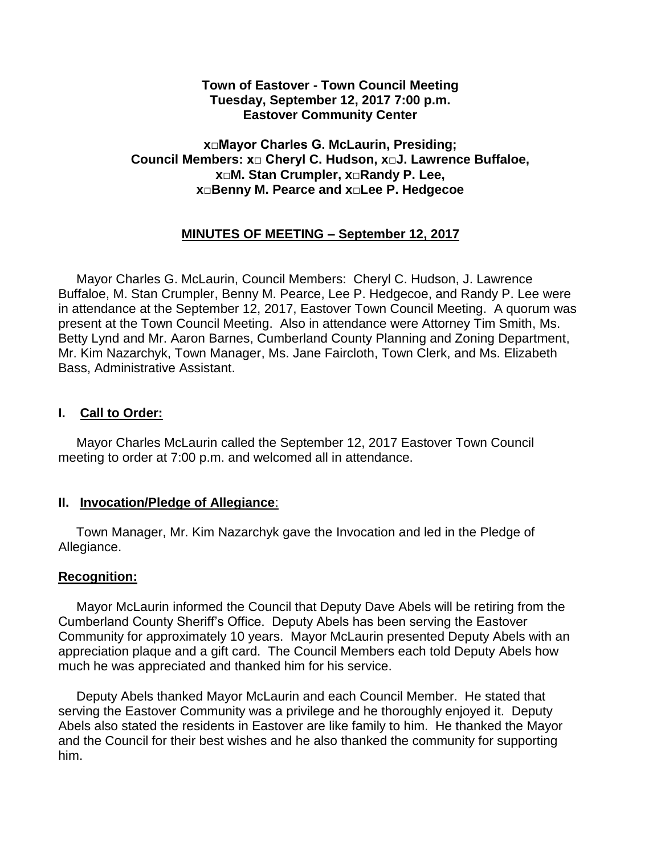#### **Town of Eastover - Town Council Meeting Tuesday, September 12, 2017 7:00 p.m. Eastover Community Center**

# **x□Mayor Charles G. McLaurin, Presiding; Council Members: x□ Cheryl C. Hudson, x□J. Lawrence Buffaloe, x□M. Stan Crumpler, x□Randy P. Lee, x□Benny M. Pearce and x□Lee P. Hedgecoe**

# **MINUTES OF MEETING – September 12, 2017**

 Mayor Charles G. McLaurin, Council Members: Cheryl C. Hudson, J. Lawrence Buffaloe, M. Stan Crumpler, Benny M. Pearce, Lee P. Hedgecoe, and Randy P. Lee were in attendance at the September 12, 2017, Eastover Town Council Meeting. A quorum was present at the Town Council Meeting. Also in attendance were Attorney Tim Smith, Ms. Betty Lynd and Mr. Aaron Barnes, Cumberland County Planning and Zoning Department, Mr. Kim Nazarchyk, Town Manager, Ms. Jane Faircloth, Town Clerk, and Ms. Elizabeth Bass, Administrative Assistant.

# **I. Call to Order:**

 Mayor Charles McLaurin called the September 12, 2017 Eastover Town Council meeting to order at 7:00 p.m. and welcomed all in attendance.

# **II. Invocation/Pledge of Allegiance**:

 Town Manager, Mr. Kim Nazarchyk gave the Invocation and led in the Pledge of Allegiance.

# **Recognition:**

 Mayor McLaurin informed the Council that Deputy Dave Abels will be retiring from the Cumberland County Sheriff's Office. Deputy Abels has been serving the Eastover Community for approximately 10 years. Mayor McLaurin presented Deputy Abels with an appreciation plaque and a gift card. The Council Members each told Deputy Abels how much he was appreciated and thanked him for his service.

 Deputy Abels thanked Mayor McLaurin and each Council Member. He stated that serving the Eastover Community was a privilege and he thoroughly enjoyed it. Deputy Abels also stated the residents in Eastover are like family to him. He thanked the Mayor and the Council for their best wishes and he also thanked the community for supporting him.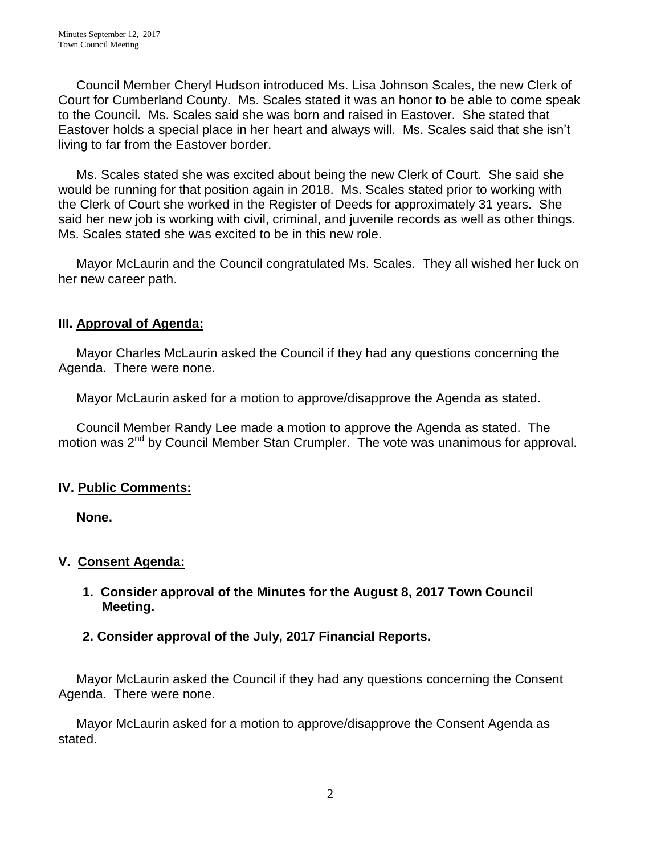Council Member Cheryl Hudson introduced Ms. Lisa Johnson Scales, the new Clerk of Court for Cumberland County. Ms. Scales stated it was an honor to be able to come speak to the Council. Ms. Scales said she was born and raised in Eastover. She stated that Eastover holds a special place in her heart and always will. Ms. Scales said that she isn't living to far from the Eastover border.

 Ms. Scales stated she was excited about being the new Clerk of Court. She said she would be running for that position again in 2018. Ms. Scales stated prior to working with the Clerk of Court she worked in the Register of Deeds for approximately 31 years. She said her new job is working with civil, criminal, and juvenile records as well as other things. Ms. Scales stated she was excited to be in this new role.

 Mayor McLaurin and the Council congratulated Ms. Scales. They all wished her luck on her new career path.

# **III. Approval of Agenda:**

 Mayor Charles McLaurin asked the Council if they had any questions concerning the Agenda. There were none.

Mayor McLaurin asked for a motion to approve/disapprove the Agenda as stated.

 Council Member Randy Lee made a motion to approve the Agenda as stated. The motion was 2<sup>nd</sup> by Council Member Stan Crumpler. The vote was unanimous for approval.

# **IV. Public Comments:**

 **None.**

# **V. Consent Agenda:**

**1. Consider approval of the Minutes for the August 8, 2017 Town Council Meeting.** 

# **2. Consider approval of the July, 2017 Financial Reports.**

 Mayor McLaurin asked the Council if they had any questions concerning the Consent Agenda. There were none.

 Mayor McLaurin asked for a motion to approve/disapprove the Consent Agenda as stated.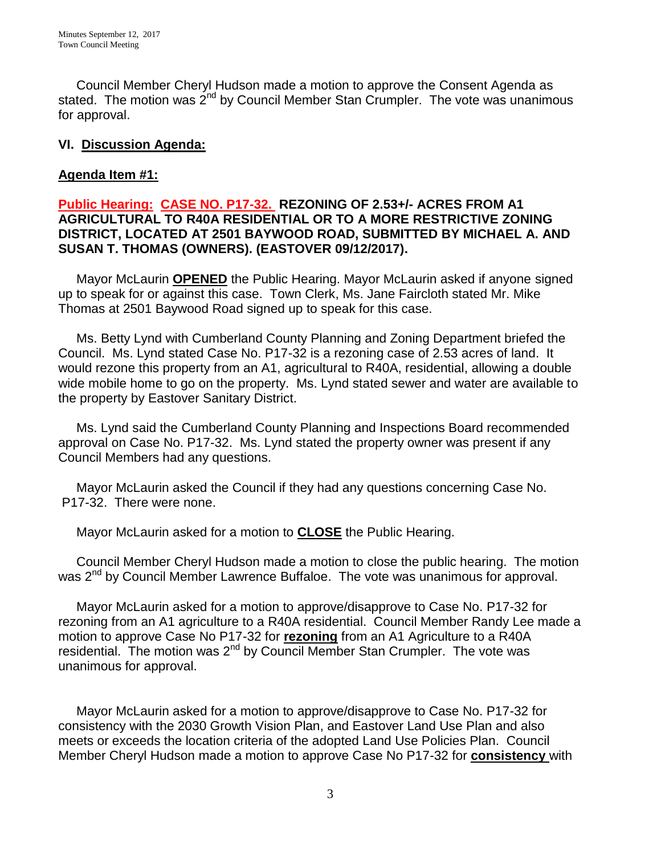Council Member Cheryl Hudson made a motion to approve the Consent Agenda as stated. The motion was  $2^{nd}$  by Council Member Stan Crumpler. The vote was unanimous for approval.

# **VI. Discussion Agenda:**

# **Agenda Item #1:**

# **Public Hearing: CASE NO. P17-32. REZONING OF 2.53+/- ACRES FROM A1 AGRICULTURAL TO R40A RESIDENTIAL OR TO A MORE RESTRICTIVE ZONING DISTRICT, LOCATED AT 2501 BAYWOOD ROAD, SUBMITTED BY MICHAEL A. AND SUSAN T. THOMAS (OWNERS). (EASTOVER 09/12/2017).**

Mayor McLaurin **OPENED** the Public Hearing. Mayor McLaurin asked if anyone signed up to speak for or against this case. Town Clerk, Ms. Jane Faircloth stated Mr. Mike Thomas at 2501 Baywood Road signed up to speak for this case.

 Ms. Betty Lynd with Cumberland County Planning and Zoning Department briefed the Council. Ms. Lynd stated Case No. P17-32 is a rezoning case of 2.53 acres of land. It would rezone this property from an A1, agricultural to R40A, residential, allowing a double wide mobile home to go on the property. Ms. Lynd stated sewer and water are available to the property by Eastover Sanitary District.

 Ms. Lynd said the Cumberland County Planning and Inspections Board recommended approval on Case No. P17-32. Ms. Lynd stated the property owner was present if any Council Members had any questions.

 Mayor McLaurin asked the Council if they had any questions concerning Case No. P17-32. There were none.

Mayor McLaurin asked for a motion to **CLOSE** the Public Hearing.

 Council Member Cheryl Hudson made a motion to close the public hearing. The motion was 2<sup>nd</sup> by Council Member Lawrence Buffaloe. The vote was unanimous for approval.

 Mayor McLaurin asked for a motion to approve/disapprove to Case No. P17-32 for rezoning from an A1 agriculture to a R40A residential. Council Member Randy Lee made a motion to approve Case No P17-32 for **rezoning** from an A1 Agriculture to a R40A residential. The motion was  $2^{nd}$  by Council Member Stan Crumpler. The vote was unanimous for approval.

 Mayor McLaurin asked for a motion to approve/disapprove to Case No. P17-32 for consistency with the 2030 Growth Vision Plan, and Eastover Land Use Plan and also meets or exceeds the location criteria of the adopted Land Use Policies Plan. Council Member Cheryl Hudson made a motion to approve Case No P17-32 for **consistency** with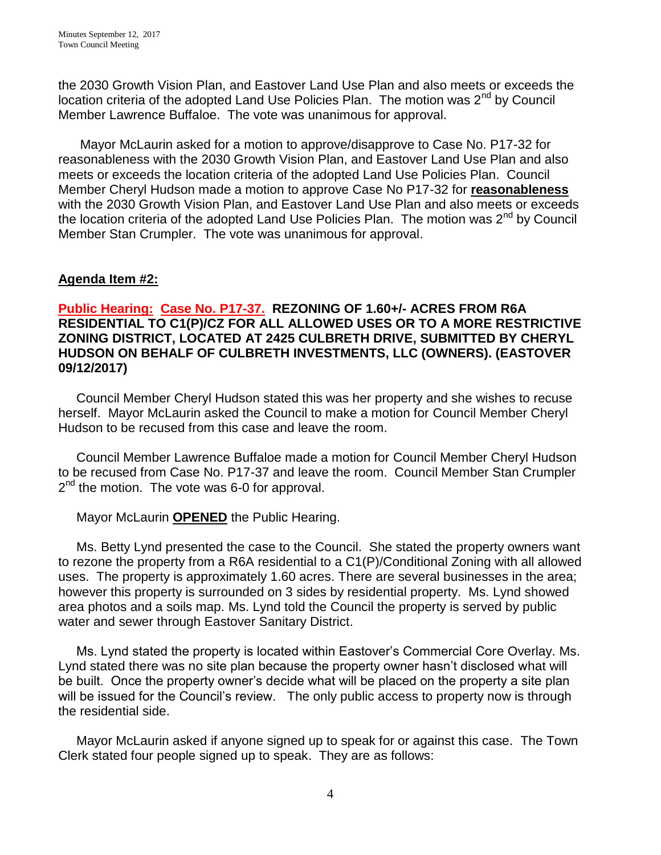the 2030 Growth Vision Plan, and Eastover Land Use Plan and also meets or exceeds the location criteria of the adopted Land Use Policies Plan. The motion was 2<sup>nd</sup> by Council Member Lawrence Buffaloe. The vote was unanimous for approval.

 Mayor McLaurin asked for a motion to approve/disapprove to Case No. P17-32 for reasonableness with the 2030 Growth Vision Plan, and Eastover Land Use Plan and also meets or exceeds the location criteria of the adopted Land Use Policies Plan. Council Member Cheryl Hudson made a motion to approve Case No P17-32 for **reasonableness** with the 2030 Growth Vision Plan, and Eastover Land Use Plan and also meets or exceeds the location criteria of the adopted Land Use Policies Plan. The motion was 2<sup>nd</sup> by Council Member Stan Crumpler. The vote was unanimous for approval.

# **Agenda Item #2:**

# **Public Hearing: Case No. P17-37. REZONING OF 1.60+/- ACRES FROM R6A RESIDENTIAL TO C1(P)/CZ FOR ALL ALLOWED USES OR TO A MORE RESTRICTIVE ZONING DISTRICT, LOCATED AT 2425 CULBRETH DRIVE, SUBMITTED BY CHERYL HUDSON ON BEHALF OF CULBRETH INVESTMENTS, LLC (OWNERS). (EASTOVER 09/12/2017)**

 Council Member Cheryl Hudson stated this was her property and she wishes to recuse herself. Mayor McLaurin asked the Council to make a motion for Council Member Cheryl Hudson to be recused from this case and leave the room.

 Council Member Lawrence Buffaloe made a motion for Council Member Cheryl Hudson to be recused from Case No. P17-37 and leave the room. Council Member Stan Crumpler 2<sup>nd</sup> the motion. The vote was 6-0 for approval.

Mayor McLaurin **OPENED** the Public Hearing.

 Ms. Betty Lynd presented the case to the Council. She stated the property owners want to rezone the property from a R6A residential to a C1(P)/Conditional Zoning with all allowed uses. The property is approximately 1.60 acres. There are several businesses in the area; however this property is surrounded on 3 sides by residential property. Ms. Lynd showed area photos and a soils map. Ms. Lynd told the Council the property is served by public water and sewer through Eastover Sanitary District.

 Ms. Lynd stated the property is located within Eastover's Commercial Core Overlay. Ms. Lynd stated there was no site plan because the property owner hasn't disclosed what will be built. Once the property owner's decide what will be placed on the property a site plan will be issued for the Council's review. The only public access to property now is through the residential side.

 Mayor McLaurin asked if anyone signed up to speak for or against this case. The Town Clerk stated four people signed up to speak. They are as follows: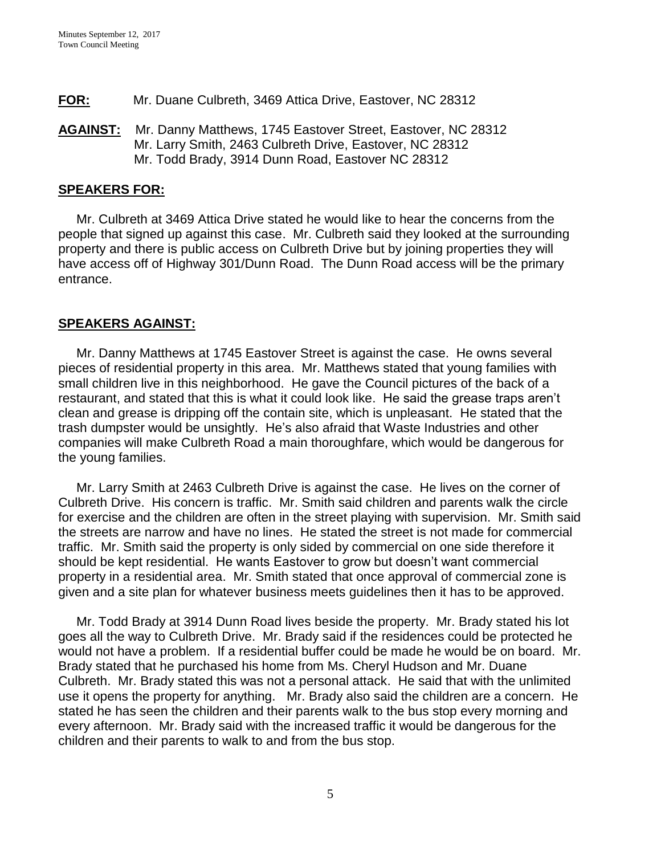- **FOR:** Mr. Duane Culbreth, 3469 Attica Drive, Eastover, NC 28312
- **AGAINST:** Mr. Danny Matthews, 1745 Eastover Street, Eastover, NC 28312 Mr. Larry Smith, 2463 Culbreth Drive, Eastover, NC 28312 Mr. Todd Brady, 3914 Dunn Road, Eastover NC 28312

#### **SPEAKERS FOR:**

 Mr. Culbreth at 3469 Attica Drive stated he would like to hear the concerns from the people that signed up against this case. Mr. Culbreth said they looked at the surrounding property and there is public access on Culbreth Drive but by joining properties they will have access off of Highway 301/Dunn Road. The Dunn Road access will be the primary entrance.

# **SPEAKERS AGAINST:**

 Mr. Danny Matthews at 1745 Eastover Street is against the case. He owns several pieces of residential property in this area. Mr. Matthews stated that young families with small children live in this neighborhood. He gave the Council pictures of the back of a restaurant, and stated that this is what it could look like. He said the grease traps aren't clean and grease is dripping off the contain site, which is unpleasant. He stated that the trash dumpster would be unsightly. He's also afraid that Waste Industries and other companies will make Culbreth Road a main thoroughfare, which would be dangerous for the young families.

 Mr. Larry Smith at 2463 Culbreth Drive is against the case. He lives on the corner of Culbreth Drive. His concern is traffic. Mr. Smith said children and parents walk the circle for exercise and the children are often in the street playing with supervision. Mr. Smith said the streets are narrow and have no lines. He stated the street is not made for commercial traffic. Mr. Smith said the property is only sided by commercial on one side therefore it should be kept residential. He wants Eastover to grow but doesn't want commercial property in a residential area. Mr. Smith stated that once approval of commercial zone is given and a site plan for whatever business meets guidelines then it has to be approved.

 Mr. Todd Brady at 3914 Dunn Road lives beside the property. Mr. Brady stated his lot goes all the way to Culbreth Drive. Mr. Brady said if the residences could be protected he would not have a problem. If a residential buffer could be made he would be on board. Mr. Brady stated that he purchased his home from Ms. Cheryl Hudson and Mr. Duane Culbreth. Mr. Brady stated this was not a personal attack. He said that with the unlimited use it opens the property for anything. Mr. Brady also said the children are a concern. He stated he has seen the children and their parents walk to the bus stop every morning and every afternoon. Mr. Brady said with the increased traffic it would be dangerous for the children and their parents to walk to and from the bus stop.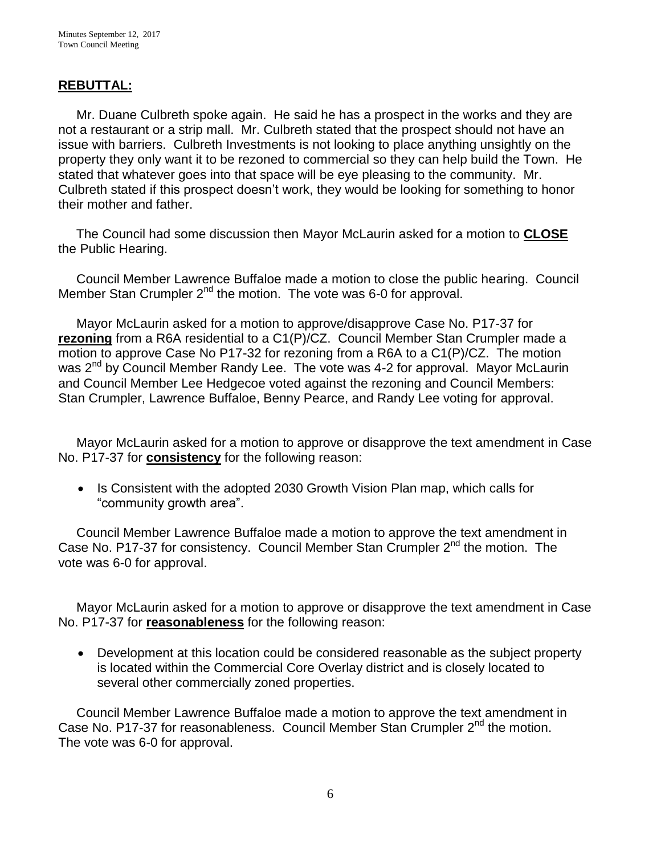#### **REBUTTAL:**

 Mr. Duane Culbreth spoke again. He said he has a prospect in the works and they are not a restaurant or a strip mall. Mr. Culbreth stated that the prospect should not have an issue with barriers. Culbreth Investments is not looking to place anything unsightly on the property they only want it to be rezoned to commercial so they can help build the Town. He stated that whatever goes into that space will be eye pleasing to the community. Mr. Culbreth stated if this prospect doesn't work, they would be looking for something to honor their mother and father.

 The Council had some discussion then Mayor McLaurin asked for a motion to **CLOSE** the Public Hearing.

 Council Member Lawrence Buffaloe made a motion to close the public hearing. Council Member Stan Crumpler 2<sup>nd</sup> the motion. The vote was 6-0 for approval.

 Mayor McLaurin asked for a motion to approve/disapprove Case No. P17-37 for **rezoning** from a R6A residential to a C1(P)/CZ. Council Member Stan Crumpler made a motion to approve Case No P17-32 for rezoning from a R6A to a C1(P)/CZ. The motion was 2<sup>nd</sup> by Council Member Randy Lee. The vote was 4-2 for approval. Mayor McLaurin and Council Member Lee Hedgecoe voted against the rezoning and Council Members: Stan Crumpler, Lawrence Buffaloe, Benny Pearce, and Randy Lee voting for approval.

 Mayor McLaurin asked for a motion to approve or disapprove the text amendment in Case No. P17-37 for **consistency** for the following reason:

• Is Consistent with the adopted 2030 Growth Vision Plan map, which calls for "community growth area".

 Council Member Lawrence Buffaloe made a motion to approve the text amendment in Case No. P17-37 for consistency. Council Member Stan Crumpler  $2<sup>nd</sup>$  the motion. The vote was 6-0 for approval.

 Mayor McLaurin asked for a motion to approve or disapprove the text amendment in Case No. P17-37 for **reasonableness** for the following reason:

 Development at this location could be considered reasonable as the subject property is located within the Commercial Core Overlay district and is closely located to several other commercially zoned properties.

 Council Member Lawrence Buffaloe made a motion to approve the text amendment in Case No. P17-37 for reasonableness. Council Member Stan Crumpler 2<sup>nd</sup> the motion. The vote was 6-0 for approval.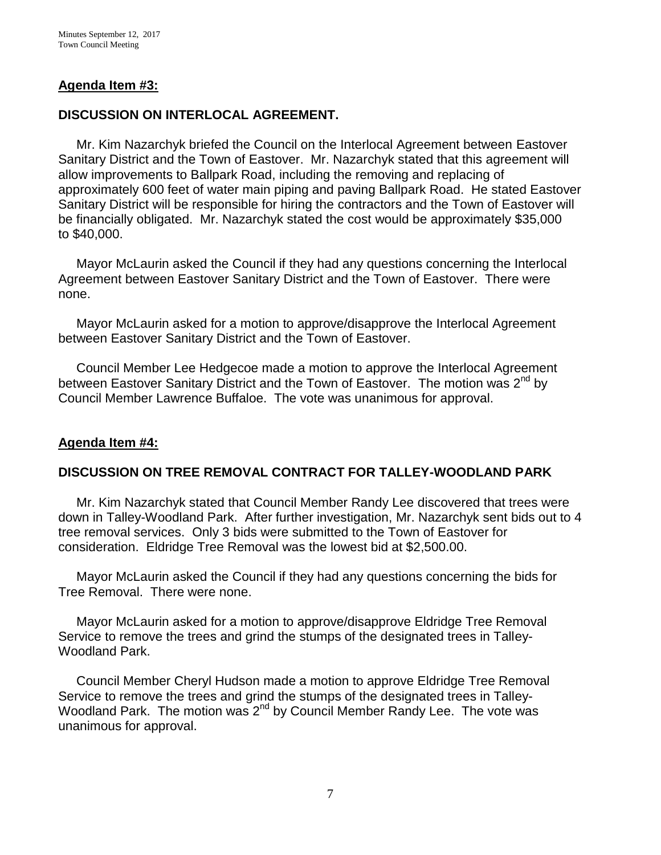# **Agenda Item #3:**

# **DISCUSSION ON INTERLOCAL AGREEMENT.**

Mr. Kim Nazarchyk briefed the Council on the Interlocal Agreement between Eastover Sanitary District and the Town of Eastover. Mr. Nazarchyk stated that this agreement will allow improvements to Ballpark Road, including the removing and replacing of approximately 600 feet of water main piping and paving Ballpark Road. He stated Eastover Sanitary District will be responsible for hiring the contractors and the Town of Eastover will be financially obligated. Mr. Nazarchyk stated the cost would be approximately \$35,000 to \$40,000.

 Mayor McLaurin asked the Council if they had any questions concerning the Interlocal Agreement between Eastover Sanitary District and the Town of Eastover. There were none.

 Mayor McLaurin asked for a motion to approve/disapprove the Interlocal Agreement between Eastover Sanitary District and the Town of Eastover.

 Council Member Lee Hedgecoe made a motion to approve the Interlocal Agreement between Eastover Sanitary District and the Town of Eastover. The motion was 2<sup>nd</sup> by Council Member Lawrence Buffaloe. The vote was unanimous for approval.

# **Agenda Item #4:**

# **DISCUSSION ON TREE REMOVAL CONTRACT FOR TALLEY-WOODLAND PARK**

Mr. Kim Nazarchyk stated that Council Member Randy Lee discovered that trees were down in Talley-Woodland Park. After further investigation, Mr. Nazarchyk sent bids out to 4 tree removal services. Only 3 bids were submitted to the Town of Eastover for consideration. Eldridge Tree Removal was the lowest bid at \$2,500.00.

 Mayor McLaurin asked the Council if they had any questions concerning the bids for Tree Removal. There were none.

 Mayor McLaurin asked for a motion to approve/disapprove Eldridge Tree Removal Service to remove the trees and grind the stumps of the designated trees in Talley-Woodland Park.

 Council Member Cheryl Hudson made a motion to approve Eldridge Tree Removal Service to remove the trees and grind the stumps of the designated trees in Talley-Woodland Park. The motion was 2nd by Council Member Randy Lee. The vote was unanimous for approval.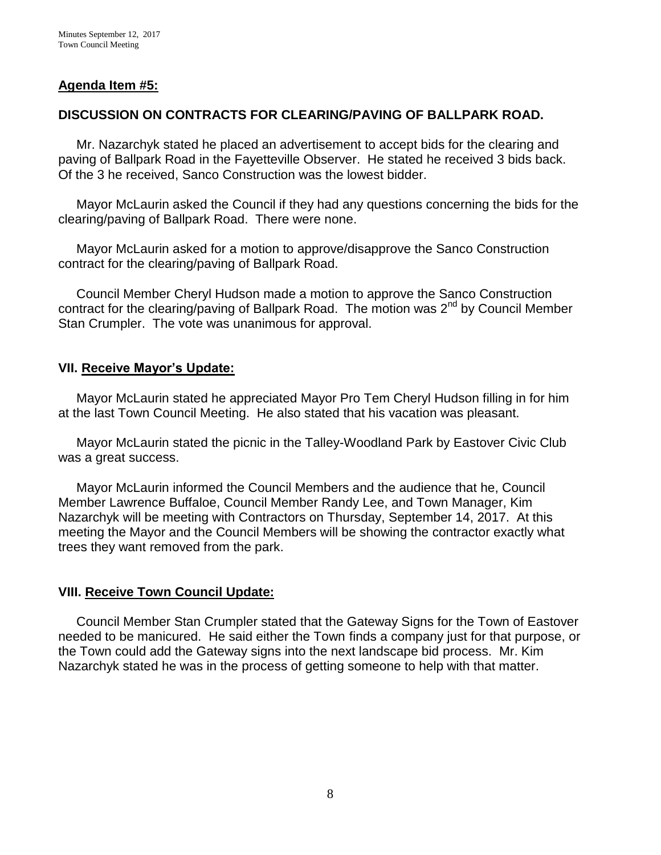# **Agenda Item #5:**

# **DISCUSSION ON CONTRACTS FOR CLEARING/PAVING OF BALLPARK ROAD.**

Mr. Nazarchyk stated he placed an advertisement to accept bids for the clearing and paving of Ballpark Road in the Fayetteville Observer. He stated he received 3 bids back. Of the 3 he received, Sanco Construction was the lowest bidder.

 Mayor McLaurin asked the Council if they had any questions concerning the bids for the clearing/paving of Ballpark Road. There were none.

 Mayor McLaurin asked for a motion to approve/disapprove the Sanco Construction contract for the clearing/paving of Ballpark Road.

 Council Member Cheryl Hudson made a motion to approve the Sanco Construction contract for the clearing/paving of Ballpark Road. The motion was 2<sup>nd</sup> by Council Member Stan Crumpler. The vote was unanimous for approval.

#### **VII. Receive Mayor's Update:**

 Mayor McLaurin stated he appreciated Mayor Pro Tem Cheryl Hudson filling in for him at the last Town Council Meeting. He also stated that his vacation was pleasant.

 Mayor McLaurin stated the picnic in the Talley-Woodland Park by Eastover Civic Club was a great success.

 Mayor McLaurin informed the Council Members and the audience that he, Council Member Lawrence Buffaloe, Council Member Randy Lee, and Town Manager, Kim Nazarchyk will be meeting with Contractors on Thursday, September 14, 2017. At this meeting the Mayor and the Council Members will be showing the contractor exactly what trees they want removed from the park.

# **VIII. Receive Town Council Update:**

 Council Member Stan Crumpler stated that the Gateway Signs for the Town of Eastover needed to be manicured. He said either the Town finds a company just for that purpose, or the Town could add the Gateway signs into the next landscape bid process. Mr. Kim Nazarchyk stated he was in the process of getting someone to help with that matter.